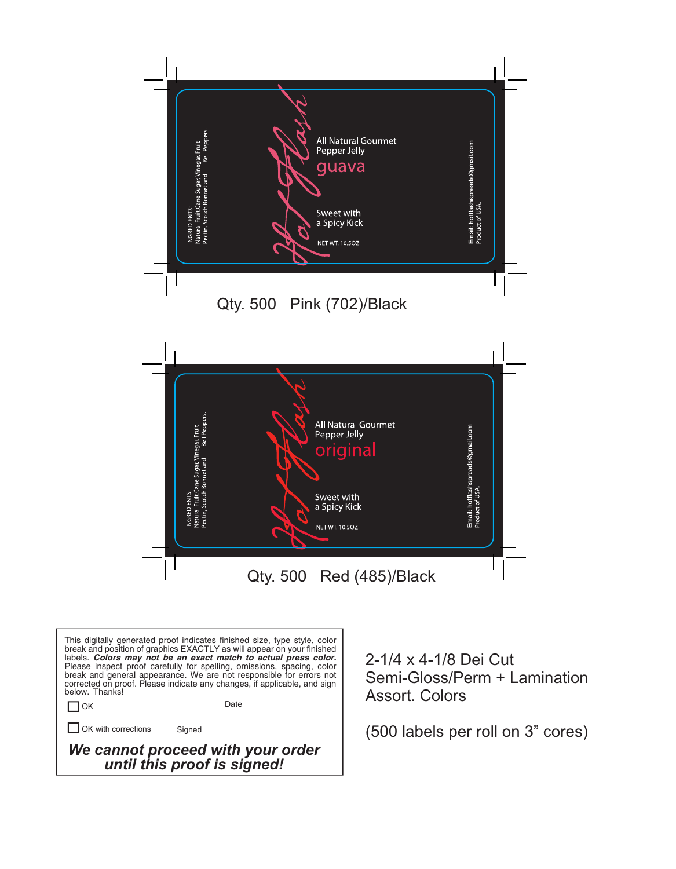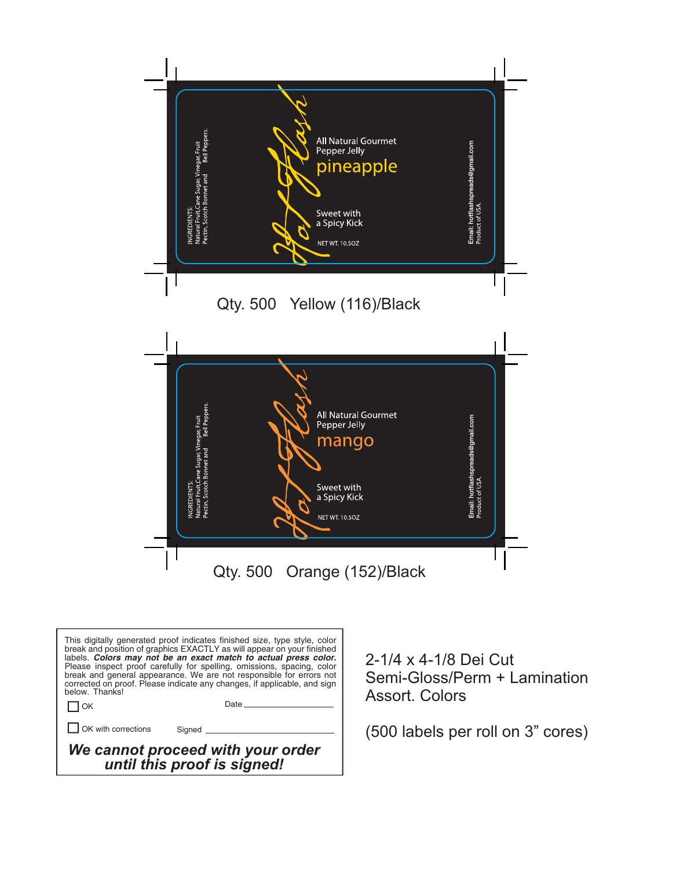